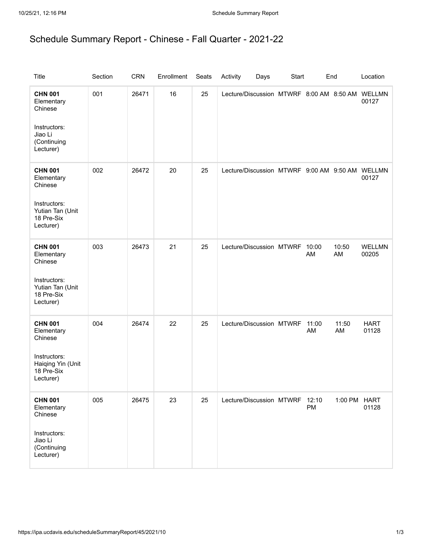## Schedule Summary Report - Chinese - Fall Quarter - 2021-22

| <b>Title</b>                                                                                            | Section | <b>CRN</b> | Enrollment | Seats | Activity<br>Days                                | Start |             | End          | Location               |
|---------------------------------------------------------------------------------------------------------|---------|------------|------------|-------|-------------------------------------------------|-------|-------------|--------------|------------------------|
| <b>CHN 001</b><br>Elementary<br>Chinese<br>Instructors:<br>Jiao Li<br>(Continuing<br>Lecturer)          | 001     | 26471      | 16         | 25    | Lecture/Discussion MTWRF 8:00 AM 8:50 AM WELLMN |       |             |              | 00127                  |
| <b>CHN 001</b><br>Elementary<br>Chinese<br>Instructors:<br>Yutian Tan (Unit<br>18 Pre-Six<br>Lecturer)  | 002     | 26472      | 20         | 25    | Lecture/Discussion MTWRF 9:00 AM 9:50 AM WELLMN |       |             |              | 00127                  |
| <b>CHN 001</b><br>Elementary<br>Chinese<br>Instructors:<br>Yutian Tan (Unit<br>18 Pre-Six<br>Lecturer)  | 003     | 26473      | 21         | 25    | Lecture/Discussion MTWRF 10:00                  |       | AM          | 10:50<br>AM  | <b>WELLMN</b><br>00205 |
| <b>CHN 001</b><br>Elementary<br>Chinese<br>Instructors:<br>Haiqing Yin (Unit<br>18 Pre-Six<br>Lecturer) | 004     | 26474      | 22         | 25    | Lecture/Discussion MTWRF                        |       | 11:00<br>AM | 11:50<br>AM  | <b>HART</b><br>01128   |
| <b>CHN 001</b><br>Elementary<br>Chinese<br>Instructors:<br>Jiao Li<br>(Continuing<br>Lecturer)          | 005     | 26475      | 23         | 25    | Lecture/Discussion MTWRF 12:10                  |       | PM          | 1:00 PM HART | 01128                  |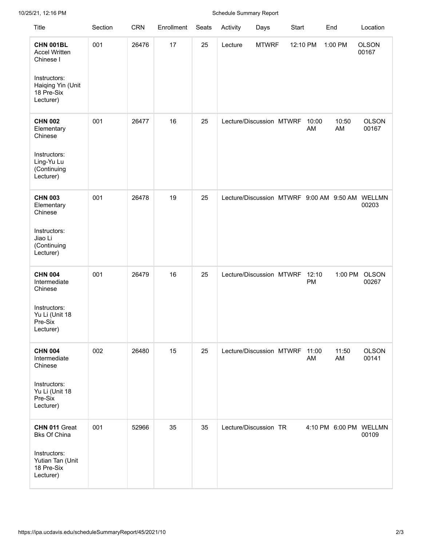## 10/25/21, 12:16 PM Schedule Summary Report

| <b>Title</b>                                                                                                          | Section | <b>CRN</b> | Enrollment | Seats | Activity                                 | Days         | Start    |             | End         | Location                        |
|-----------------------------------------------------------------------------------------------------------------------|---------|------------|------------|-------|------------------------------------------|--------------|----------|-------------|-------------|---------------------------------|
| <b>CHN 001BL</b><br><b>Accel Written</b><br>Chinese I<br>Instructors:<br>Haiqing Yin (Unit<br>18 Pre-Six<br>Lecturer) | 001     | 26476      | 17         | 25    | Lecture                                  | <b>MTWRF</b> | 12:10 PM |             | 1:00 PM     | <b>OLSON</b><br>00167           |
| <b>CHN 002</b><br>Elementary<br>Chinese<br>Instructors:<br>Ling-Yu Lu<br>(Continuing<br>Lecturer)                     | 001     | 26477      | 16         | 25    | Lecture/Discussion MTWRF                 |              |          | 10:00<br>AM | 10:50<br>AM | <b>OLSON</b><br>00167           |
| <b>CHN 003</b><br>Elementary<br>Chinese<br>Instructors:<br>Jiao Li<br>(Continuing<br>Lecturer)                        | 001     | 26478      | 19         | 25    | Lecture/Discussion MTWRF 9:00 AM 9:50 AM |              |          |             |             | WELLMN<br>00203                 |
| <b>CHN 004</b><br>Intermediate<br>Chinese<br>Instructors:<br>Yu Li (Unit 18<br>Pre-Six<br>Lecturer)                   | 001     | 26479      | 16         | 25    | Lecture/Discussion MTWRF                 |              |          | 12:10<br>PM | 1:00 PM     | <b>OLSON</b><br>00267           |
| <b>CHN 004</b><br>Intermediate<br>Chinese<br>Instructors:<br>Yu Li (Unit 18<br>Pre-Six<br>Lecturer)                   | 002     | 26480      | 15         | 25    | Lecture/Discussion MTWRF 11:00           |              |          | AM          | 11:50<br>AM | <b>OLSON</b><br>00141           |
| CHN 011 Great<br><b>Bks Of China</b><br>Instructors:<br>Yutian Tan (Unit<br>18 Pre-Six<br>Lecturer)                   | 001     | 52966      | 35         | 35    | Lecture/Discussion TR                    |              |          |             |             | 4:10 PM 6:00 PM WELLMN<br>00109 |